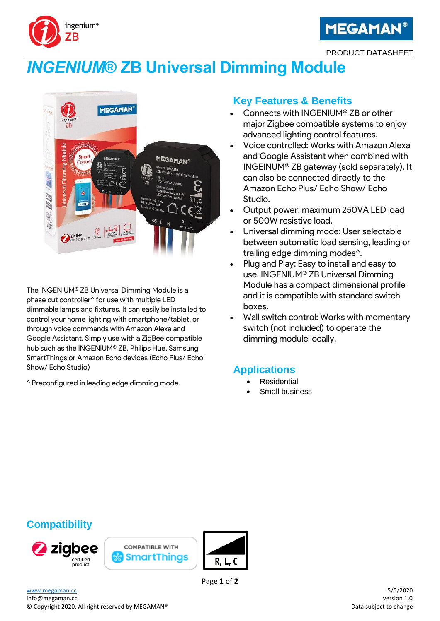



PRODUCT DATASHEET

# *INGENIUM***® ZB Universal Dimming Module**



The INGENIUM® ZB Universal Dimming Module is a phase cut controller^ for use with multiple LED dimmable lamps and fixtures. It can easily be installed to control your home lighting with smartphone/tablet, or through voice commands with Amazon Alexa and Google Assistant. Simply use with a ZigBee compatible hub such as the INGENIUM® ZB, Philips Hue, Samsung SmartThings or Amazon Echo devices (Echo Plus/ Echo Show/ Echo Studio)

^ Preconfigured in leading edge dimming mode.

## **Key Features & Benefits**

- Connects with INGENIUM® ZB or other major Zigbee compatible systems to enjoy advanced lighting control features.
- Voice controlled: Works with Amazon Alexa and Google Assistant when combined with INGEINUM® ZB gateway (sold separately). It can also be connected directly to the Amazon Echo Plus/ Echo Show/ Echo Studio.
- Output power: maximum 250VA LED load or 500W resistive load.
- Universal dimming mode: User selectable between automatic load sensing, leading or trailing edge dimming modes^.
- Plug and Play: Easy to install and easy to use. INGENIUM® ZB Universal Dimming Module has a compact dimensional profile and it is compatible with standard switch boxes.
- Wall switch control: Works with momentary switch (not included) to operate the dimming module locally.

## **Applications**

- **Residential**
- Small business

## **Compatibility**







Page **1** of **2**

[www.megaman.cc](http://www.megaman.cc/) 5/5/2020 info@megaman.cc version 1.0

© Copyright 2020. All right reserved by MEGAMAN® **Data subject to change** Data subject to change